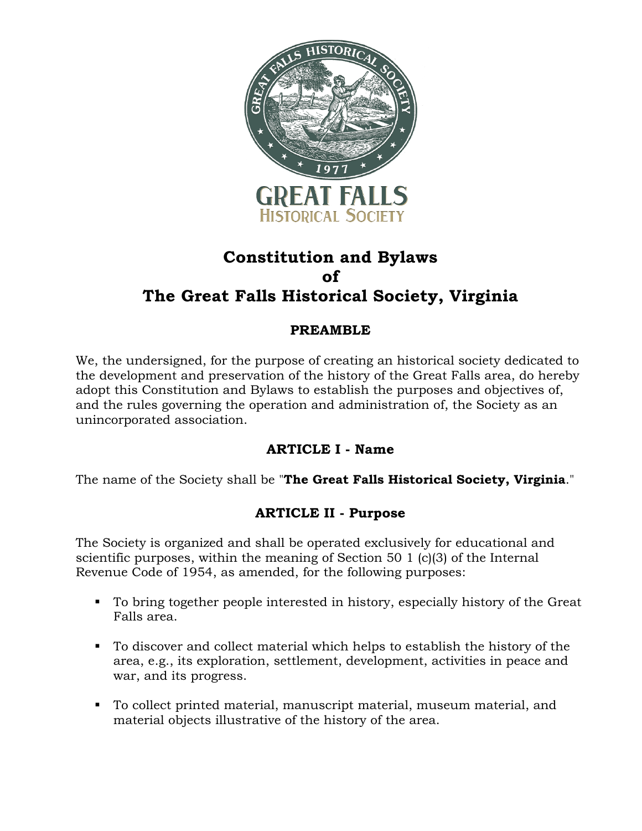

# **Constitution and Bylaws of The Great Falls Historical Society, Virginia**

# **PREAMBLE**

We, the undersigned, for the purpose of creating an historical society dedicated to the development and preservation of the history of the Great Falls area, do hereby adopt this Constitution and Bylaws to establish the purposes and objectives of, and the rules governing the operation and administration of, the Society as an unincorporated association.

# **ARTICLE I - Name**

The name of the Society shall be "**The Great Falls Historical Society, Virginia**."

## **ARTICLE II - Purpose**

The Society is organized and shall be operated exclusively for educational and scientific purposes, within the meaning of Section 50 1 (c)(3) of the Internal Revenue Code of 1954, as amended, for the following purposes:

- To bring together people interested in history, especially history of the Great Falls area.
- To discover and collect material which helps to establish the history of the area, e.g., its exploration, settlement, development, activities in peace and war, and its progress.
- § To collect printed material, manuscript material, museum material, and material objects illustrative of the history of the area.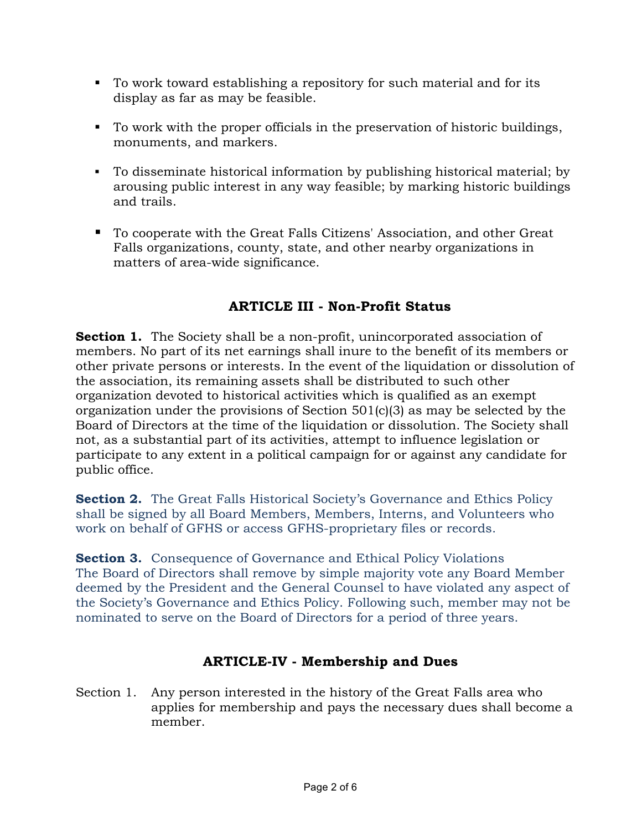- To work toward establishing a repository for such material and for its display as far as may be feasible.
- § To work with the proper officials in the preservation of historic buildings, monuments, and markers.
- To disseminate historical information by publishing historical material; by arousing public interest in any way feasible; by marking historic buildings and trails.
- To cooperate with the Great Falls Citizens' Association, and other Great Falls organizations, county, state, and other nearby organizations in matters of area-wide significance.

# **ARTICLE III - Non-Profit Status**

**Section 1.** The Society shall be a non-profit, unincorporated association of members. No part of its net earnings shall inure to the benefit of its members or other private persons or interests. In the event of the liquidation or dissolution of the association, its remaining assets shall be distributed to such other organization devoted to historical activities which is qualified as an exempt organization under the provisions of Section 501(c)(3) as may be selected by the Board of Directors at the time of the liquidation or dissolution. The Society shall not, as a substantial part of its activities, attempt to influence legislation or participate to any extent in a political campaign for or against any candidate for public office.

**Section 2.** The Great Falls Historical Society's Governance and Ethics Policy shall be signed by all Board Members, Members, Interns, and Volunteers who work on behalf of GFHS or access GFHS-proprietary files or records.

**Section 3.** Consequence of Governance and Ethical Policy Violations The Board of Directors shall remove by simple majority vote any Board Member deemed by the President and the General Counsel to have violated any aspect of the Society's Governance and Ethics Policy. Following such, member may not be nominated to serve on the Board of Directors for a period of three years.

# **ARTICLE-IV - Membership and Dues**

Section 1. Any person interested in the history of the Great Falls area who applies for membership and pays the necessary dues shall become a member.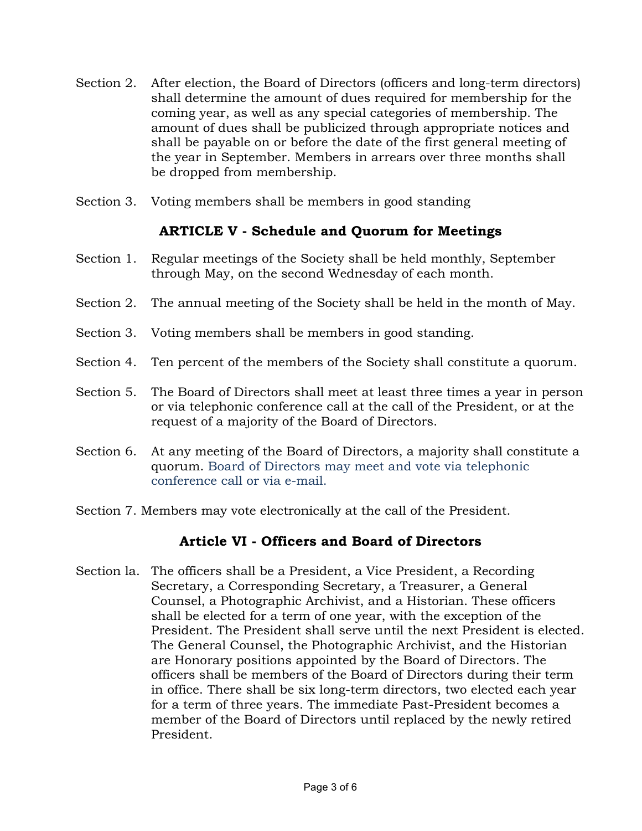- Section 2. After election, the Board of Directors (officers and long-term directors) shall determine the amount of dues required for membership for the coming year, as well as any special categories of membership. The amount of dues shall be publicized through appropriate notices and shall be payable on or before the date of the first general meeting of the year in September. Members in arrears over three months shall be dropped from membership.
- Section 3. Voting members shall be members in good standing

## **ARTICLE V - Schedule and Quorum for Meetings**

- Section 1. Regular meetings of the Society shall be held monthly, September through May, on the second Wednesday of each month.
- Section 2. The annual meeting of the Society shall be held in the month of May.
- Section 3. Voting members shall be members in good standing.
- Section 4. Ten percent of the members of the Society shall constitute a quorum.
- Section 5. The Board of Directors shall meet at least three times a year in person or via telephonic conference call at the call of the President, or at the request of a majority of the Board of Directors.
- Section 6. At any meeting of the Board of Directors, a majority shall constitute a quorum. Board of Directors may meet and vote via telephonic conference call or via e-mail.
- Section 7. Members may vote electronically at the call of the President.

## **Article VI - Officers and Board of Directors**

Section la. The officers shall be a President, a Vice President, a Recording Secretary, a Corresponding Secretary, a Treasurer, a General Counsel, a Photographic Archivist, and a Historian. These officers shall be elected for a term of one year, with the exception of the President. The President shall serve until the next President is elected. The General Counsel, the Photographic Archivist, and the Historian are Honorary positions appointed by the Board of Directors. The officers shall be members of the Board of Directors during their term in office. There shall be six long-term directors, two elected each year for a term of three years. The immediate Past-President becomes a member of the Board of Directors until replaced by the newly retired President.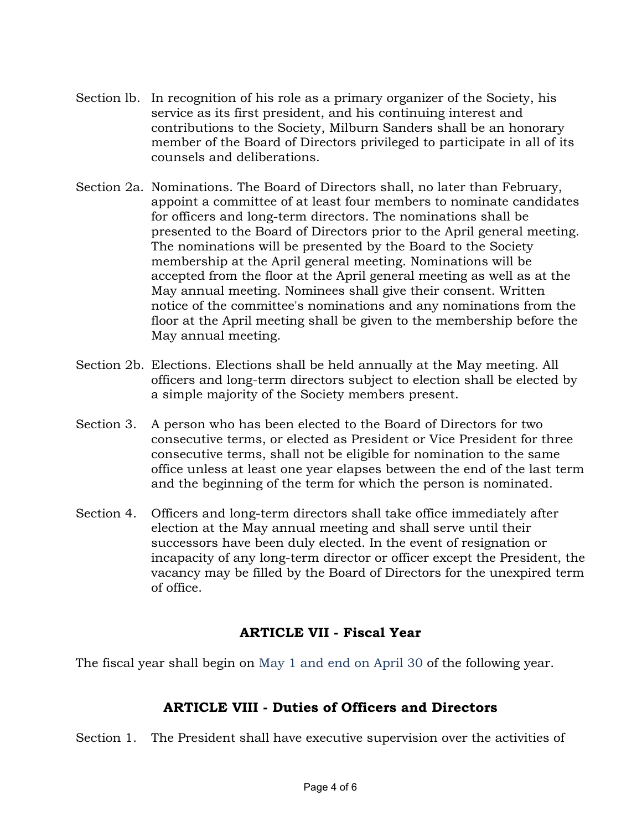- Section lb. In recognition of his role as a primary organizer of the Society, his service as its first president, and his continuing interest and contributions to the Society, Milburn Sanders shall be an honorary member of the Board of Directors privileged to participate in all of its counsels and deliberations.
- Section 2a. Nominations. The Board of Directors shall, no later than February, appoint a committee of at least four members to nominate candidates for officers and long-term directors. The nominations shall be presented to the Board of Directors prior to the April general meeting. The nominations will be presented by the Board to the Society membership at the April general meeting. Nominations will be accepted from the floor at the April general meeting as well as at the May annual meeting. Nominees shall give their consent. Written notice of the committee's nominations and any nominations from the floor at the April meeting shall be given to the membership before the May annual meeting.
- Section 2b. Elections. Elections shall be held annually at the May meeting. All officers and long-term directors subject to election shall be elected by a simple majority of the Society members present.
- Section 3. A person who has been elected to the Board of Directors for two consecutive terms, or elected as President or Vice President for three consecutive terms, shall not be eligible for nomination to the same office unless at least one year elapses between the end of the last term and the beginning of the term for which the person is nominated.
- Section 4. Officers and long-term directors shall take office immediately after election at the May annual meeting and shall serve until their successors have been duly elected. In the event of resignation or incapacity of any long-term director or officer except the President, the vacancy may be filled by the Board of Directors for the unexpired term of office.

# **ARTICLE VII - Fiscal Year**

The fiscal year shall begin on May 1 and end on April 30 of the following year.

# **ARTICLE VIII - Duties of Officers and Directors**

Section 1. The President shall have executive supervision over the activities of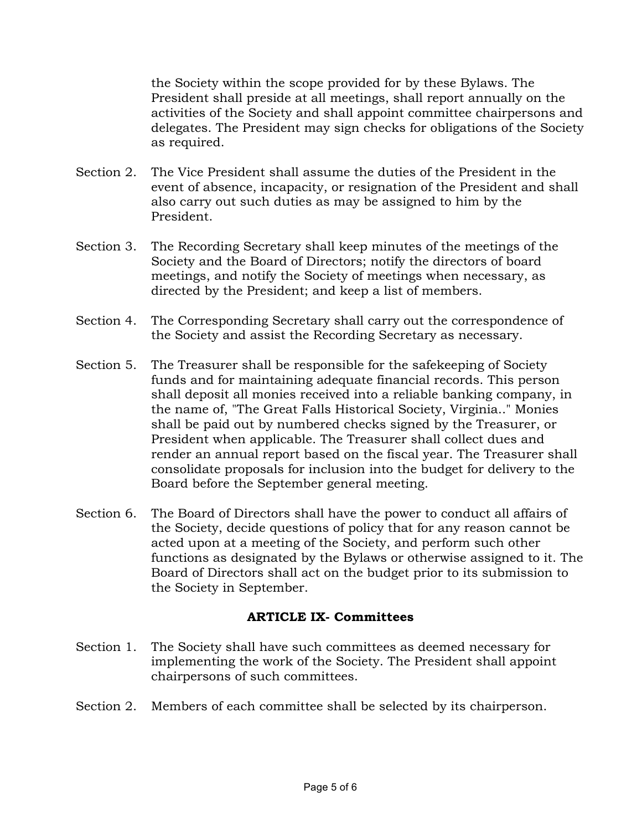the Society within the scope provided for by these Bylaws. The President shall preside at all meetings, shall report annually on the activities of the Society and shall appoint committee chairpersons and delegates. The President may sign checks for obligations of the Society as required.

- Section 2. The Vice President shall assume the duties of the President in the event of absence, incapacity, or resignation of the President and shall also carry out such duties as may be assigned to him by the President.
- Section 3. The Recording Secretary shall keep minutes of the meetings of the Society and the Board of Directors; notify the directors of board meetings, and notify the Society of meetings when necessary, as directed by the President; and keep a list of members.
- Section 4. The Corresponding Secretary shall carry out the correspondence of the Society and assist the Recording Secretary as necessary.
- Section 5. The Treasurer shall be responsible for the safekeeping of Society funds and for maintaining adequate financial records. This person shall deposit all monies received into a reliable banking company, in the name of, "The Great Falls Historical Society, Virginia.." Monies shall be paid out by numbered checks signed by the Treasurer, or President when applicable. The Treasurer shall collect dues and render an annual report based on the fiscal year. The Treasurer shall consolidate proposals for inclusion into the budget for delivery to the Board before the September general meeting.
- Section 6. The Board of Directors shall have the power to conduct all affairs of the Society, decide questions of policy that for any reason cannot be acted upon at a meeting of the Society, and perform such other functions as designated by the Bylaws or otherwise assigned to it. The Board of Directors shall act on the budget prior to its submission to the Society in September.

#### **ARTICLE IX- Committees**

- Section 1. The Society shall have such committees as deemed necessary for implementing the work of the Society. The President shall appoint chairpersons of such committees.
- Section 2. Members of each committee shall be selected by its chairperson.